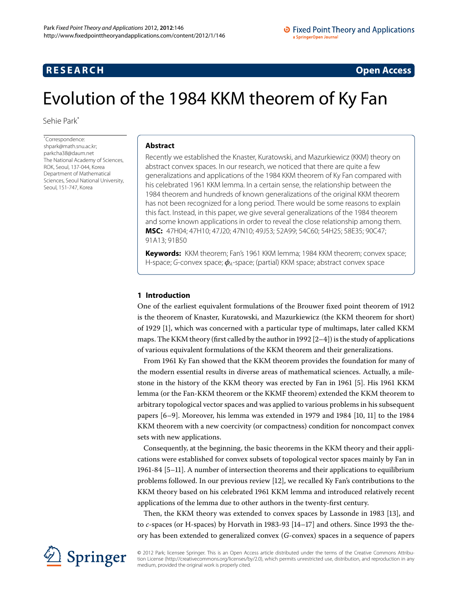## <span id="page-0-0"></span>**RESEARCH CONSTRUCTED ACCESS**

# Evolution of the 1984 KKM theorem of Ky Fan

Sehie Par[k\\*](#page-0-0)

\* Correspondence: [shpark@math.snu.ac.kr](mailto:shpark@math.snu.ac.kr); [parkcha38@daum.net](mailto:parkcha38@daum.net) The National Academy of Sciences, ROK, Seoul, 137-044, Korea Department of Mathematical Sciences, Seoul National University, Seoul, 151-747, Korea

#### **Abstract**

Recently we established the Knaster, Kuratowski, and Mazurkiewicz (KKM) theory on abstract convex spaces. In our research, we noticed that there are quite a few generalizations and applications of the 1984 KKM theorem of Ky Fan compared with his celebrated 1961 KKM lemma. In a certain sense, the relationship between the 1984 theorem and hundreds of known generalizations of the original KKM theorem has not been recognized for a long period. There would be some reasons to explain this fact. Instead, in this paper, we give several generalizations of the 1984 theorem and some known applications in order to reveal the close relationship among them. **MSC:** 47H04; 47H10; 47J20; 47N10; 49J53; 52A99; 54C60; 54H25; 58E35; 90C47; 91A13; 91B50

**Keywords:** KKM theorem; Fan's 1961 KKM lemma; 1984 KKM theorem; convex space; H-space; G-convex space;  $\phi_A$ -space; (partial) KKM space; abstract convex space

## **1 Introduction**

One of the earliest equivalent formulations of the Brouwer fixed point theorem of is the theorem of Knaster, Kuratowski, and Mazurkiewicz (the KKM theorem for short) of 1929 [\[](#page-12-0)1], which was concerned with a particular type of multimaps, later called KKM maps. The KKM theory (first called by the author in  $1992$  [2-4]) is the study of applications of various equivalent formulations of the KKM theorem and their generalizations.

From 1961 Ky Fan showed that the KKM theorem provides the foundation for many of the modern essential results in diverse areas of mathematical sciences. Actually, a mile-stone in the history of the KKM theory was erected by Fan in 1961 [\[](#page-12-3)5]. His 1961 KKM lemma (or the Fan-KKM theorem or the KKMF theorem) extended the KKM theorem to arbitrary topological vector spaces and was applied to various problems in his subsequent papers  $[6-9]$  $[6-9]$ . Moreover, his lemma was extended in 1979 and  $1984$   $[10, 11]$  to the 1984 KKM theorem with a new coercivity (or compactness) condition for noncompact convex sets with new applications.

Consequently, at the beginning, the basic theorems in the KKM theory and their applications were established for convex subsets of topological vector spaces mainly by Fan in 1961-84 [\[](#page-12-3)5-11]. A number of intersection theorems and their applications to equilibrium problems followed. In our previous review [12], we recalled Ky Fan's contributions to the KKM theory based on his celebrated 1961 KKM lemma and introduced relatively recent applications of the lemma due to other authors in the twenty-first century.

Then, the KKM theory was extended to convex spaces by Lassonde in 1983 [\[](#page-13-2)13], and to  $c$ -spaces (or H-spaces) by Horvath in 1983-93  $[14-17]$  and others. Since 1993 the theory has been extended to generalized convex (*G*-convex) spaces in a sequence of papers



© 2012 Park; licensee Springer. This is an Open Access article distributed under the terms of the Creative Commons Attribution License ([http://creativecommons.org/licenses/by/2.0\)](http://creativecommons.org/licenses/by/2.0), which permits unrestricted use, distribution, and reproduction in any medium, provided the original work is properly cited.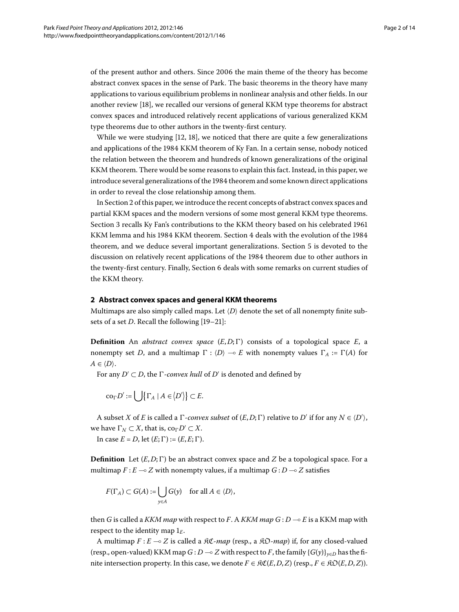of the present author and others. Since 2006 the main theme of the theory has become abstract convex spaces in the sense of Park. The basic theorems in the theory have many applications to various equilibrium problems in nonlinear analysis and other fields. In our another review [\[](#page-13-5)18], we recalled our versions of general KKM type theorems for abstract convex spaces and introduced relatively recent applications of various generalized KKM type theorems due to other authors in the twenty-first century.

While we were studying  $[12, 18]$  $[12, 18]$  $[12, 18]$  $[12, 18]$ , we noticed that there are quite a few generalizations and applications of the 1984 KKM theorem of Ky Fan. In a certain sense, nobody noticed the relation between the theorem and hundreds of known generalizations of the original KKM theorem. There would be some reasons to explain this fact. Instead, in this paper, we introduce several generalizations of the 1984 theorem and some known direct applications in order to reveal the close relationship among them.

<span id="page-1-0"></span>In Section 2 of this paper, we introduce the recent concepts of abstract convex spaces and partial KKM spaces and the modern versions of some most general KKM type theorems. Section 3 recalls Ky Fan's contributions to the KKM theory based on his celebrated 1961 KKM lemma and his 1984 KKM theorem. Section 4 deals with the evolution of the 1984 theorem, and we deduce several important generalizations. Section 5 is devoted to the discussion on relatively recent applications of the 1984 theorem due to other authors in the twenty-first century. Finally, Section deals with some remarks on current studies of the KKM theory.

#### **2 Abstract convex spaces and general KKM theorems**

Multimaps are also simply called maps. Let  $\langle D \rangle$  denote the set of all nonempty finite subsets of a set  $D$ . Recall the following  $[19-21]$  $[19-21]$ :

**Definition** An *abstract convex space*  $(E, D; \Gamma)$  consists of a topological space  $E$ , a nonempty set *D*, and a multimap  $\Gamma : \langle D \rangle \to E$  with nonempty values  $\Gamma_A := \Gamma(A)$  for  $A \in \langle D \rangle$ .

For any  $D' \subset D$ , the  $\Gamma$ -convex hull of  $D'$  is denoted and defined by

$$
\mathrm{co}_{\Gamma} D' := \bigcup \{ \Gamma_A \mid A \in \langle D' \rangle \} \subset E.
$$

A subset *X* of *E* is called a  $\Gamma$ -convex subset of  $(E, D; \Gamma)$  relative to  $D'$  if for any  $N \in \langle D' \rangle$ , we have  $\Gamma_N \subset X$ , that is,  $\text{co}_{\Gamma} D' \subset X$ .

In case  $E = D$ , let  $(E; \Gamma) := (E, E; \Gamma)$ .

**Definition** Let  $(E, D; \Gamma)$  be an abstract convex space and *Z* be a topological space. For a multimap  $F$  :  $E$  — $\circ$   $Z$  with nonempty values, if a multimap  $G$  :  $D$  — $\circ$   $Z$  satisfies

$$
F(\Gamma_A) \subset G(A) := \bigcup_{y \in A} G(y) \quad \text{for all } A \in \langle D \rangle,
$$

then *G* is called a *KKM map* with respect to *F*. A *KKM map G* : *D* - *E* is a KKM map with respect to the identity map  $1_F$ .

A multimap *F* : *E* - *Z* is called a KC-*map* (resp., a KO*-map*) if, for any closed-valued (resp., open-valued) KKM map  $G: D \to Z$  with respect to  $F$ , the family  $\{G(y)\}_{y \in D}$  has the finite intersection property. In this case, we denote *F* ∈  $\Re\mathfrak{C}(E,D,Z)$  (resp., *F* ∈  $\Re\mathfrak{O}(E,D,Z)$ ).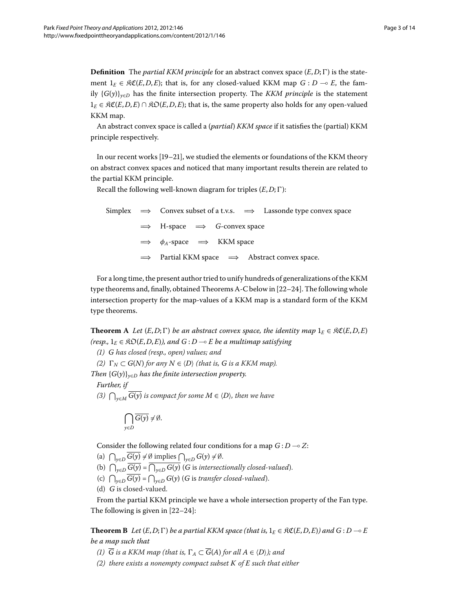**Definition** The *partial KKM principle* for an abstract convex space  $(E, D; \Gamma)$  is the statement  $1_E \in \mathfrak{RC}(E,D,E)$ ; that is, for any closed-valued KKM map  $G: D \multimap E$ , the family  ${G(y)}_{y \in D}$  has the finite intersection property. The *KKM principle* is the statement  $E \in \mathcal{RC}(E, D, E) \cap \mathcal{RO}(E, D, E)$ ; that is, the same property also holds for any open-valued KKM map.

An abstract convex space is called a (*partial*) *KKM space* if it satisfies the (partial) KKM principle respectively.

In our recent works  $[19-21]$  $[19-21]$ , we studied the elements or foundations of the KKM theory on abstract convex spaces and noticed that many important results therein are related to the partial KKM principle.

Recall the following well-known diagram for triples  $(E, D; \Gamma)$ :

Simplex 
$$
\implies
$$
 Convex subset of a t.v.s.  $\implies$  Lassonde type convex space  
\n $\implies$  H-space  $\implies$  G-convex space  
\n $\implies$   $\phi_A$ -space  $\implies$  KKM space  
\n $\implies$  Partial KKM space  $\implies$  Abstract convex space.

<span id="page-2-0"></span>For a long time, the present author tried to unify hundreds of generalizations of the KKM type theorems and, finally, obtained Theorems [A-](#page-2-0)[C](#page-3-0) below in  $[22-24]$  $[22-24]$ . The following whole intersection property for the map-values of a KKM map is a standard form of the KKM type theorems.

**Theorem A** *Let*  $(E, D; \Gamma)$  *be an abstract convex space, the identity map*  $1_E \in \Re\mathfrak{C}(E, D, E)$ *(resp.,*  $1_E \in \mathfrak{RO}(E,D,E)$ ), and  $G : D \to E$  be a multimap satisfying

*() G has closed (resp., open) values; and*

*(2)*  $\Gamma_N \subset G(N)$  for any  $N \in \langle D \rangle$  (that is, G is a KKM map).

*Then*  ${G(y)}_{y \in D}$  *has the finite intersection property.* 

*Further, if*

*(3)*  $\bigcap_{y \in M}$  *G*(*y*) *is compact for some M* ∈  $\langle D \rangle$ *, then we have* 

$$
\bigcap_{y\in D}\overline{G(y)}\neq\emptyset.
$$

Consider the following related four conditions for a map  $G$  :  $D \multimap Z$ :

<span id="page-2-1"></span>(a)  $\bigcap_{y \in D} G(y) \neq \emptyset$  implies  $\bigcap_{y \in D} G(y) \neq \emptyset$ .

- (b)  $\bigcap_{y \in D} G(y) = \bigcap_{y \in D} G(y)$  (*G* is *intersectionally closed-valued*).
- (c)  $\bigcap_{y \in D} G(y) = \bigcap_{y \in D} G(y)$  (*G* is *transfer closed-valued*).
- (d) *G* is closed-valued.

From the partial KKM principle we have a whole intersection property of the Fan type. The following is given in  $[22-24]$ :

**Theorem B** Let  $(E, D; \Gamma)$  be a partial KKM space (that is,  $1_E \in \mathfrak{RC}(E, D, E)$ ) and  $G: D \multimap E$ *be a map such that*

- *(1)*  $\overline{G}$  *is a KKM map (that is,*  $\Gamma_A \subset \overline{G}(A)$  *for all*  $A \in \langle D \rangle$ *); and*
- *() there exists a nonempty compact subset K of E such that either*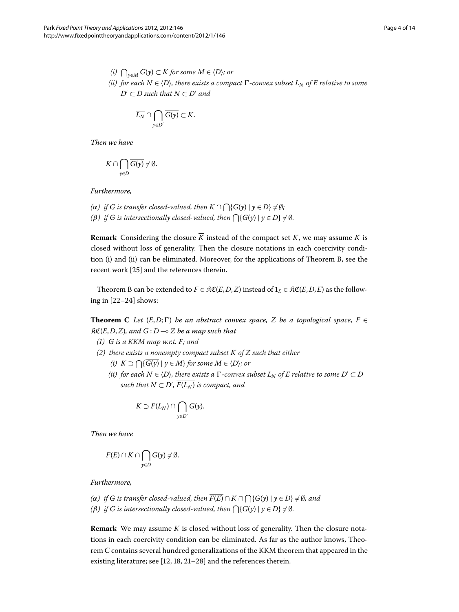*(i)*  $\bigcap_{y \in M} G(y) \subset K$  *for some*  $M \in \langle D \rangle$ *; or (ii)* for each  $N \in \langle D \rangle$ , there exists a compact  $\Gamma$ -convex subset  $L_N$  of  $E$  relative to some  $D' ⊂ D$  *such that*  $N ⊂ D'$  *and* 

$$
\overline{L_N}\cap \bigcap_{y\in D'}\overline{G(y)}\subset K.
$$

*Then we have*

$$
K \cap \bigcap_{y \in D} \overline{G(y)} \neq \emptyset.
$$

*Furthermore,*

*(* $\alpha$ *) if G is transfer closed-valued, then*  $K \cap \bigcap \{G(y) \mid y \in D\} \neq \emptyset$ *; (* $\beta$ ) *if G is intersectionally closed-valued, then*  $\bigcap$ { $G(y) | y \in D$ }  $\neq \emptyset$ *.* 

<span id="page-3-0"></span>**Remark** Considering the closure  $\overline{K}$  instead of the compact set *K*, we may assume *K* is closed without loss of generality. Then the closure notations in each coercivity condition (i) and (ii) can be eliminated. Moreover, for the applications of Theorem [B](#page-2-1), see the recent work [25[\]](#page-13-10) and the references therein.

Theorem [B](#page-2-1) can be extended to  $F \in \mathfrak{RC}(E,D,Z)$  instead of  $1_F \in \mathfrak{RC}(E,D,E)$  as the following in  $[22-24]$  $[22-24]$  shows:

**Theorem C** *Let*  $(E, D; \Gamma)$  *be an abstract convex space, Z be a topological space, F*  $\in$ KC(*E*,*D*,*Z*)*, and G* : *D* - *Z be a map such that*

- $(I)$   $\overline{G}$  *is a KKM map w.r.t. F*; and
- *() there exists a nonempty compact subset K of Z such that either*
	- *(i)*  $K ⊃ ∩$ { $G(y) | y ∈ M$ } *for some*  $M ∈ \langle D \rangle$ *; or*
	- *(ii)* for each  $N \in \langle D \rangle$ , there exists a  $\Gamma$ -convex subset  $L_N$  of  $E$  relative to some  $D' \subset D$ *such that*  $N \subset D'$ ,  $\overline{F(L_N)}$  *is compact, and*

$$
K \supset \overline{F(L_N)} \cap \bigcap_{y \in D'} \overline{G(y)}.
$$

*Then we have*

$$
\overline{F(E)} \cap K \cap \bigcap_{y \in D} \overline{G(y)} \neq \emptyset.
$$

*Furthermore,*

- *(α) if G is transfer closed-valued, then*  $\overline{F(E)}$  ∩  $K$  ∩  $\bigcap$ { $G(y)$  |  $y \in D$ }  $\neq$  Ø*; and*
- *(* $\beta$ ) *if G is intersectionally closed-valued, then*  $\bigcap$ { $G(y) | y \in D$ }  $\neq \emptyset$ *.*

**Remark** We may assume *K* is closed without loss of generality. Then the closure notations in each coercivity condition can be eliminated. As far as the author knows, Theorem [C](#page-3-0) contains several hundred generalizations of the KKM theorem that appeared in the existing literature; see  $[12, 18, 21-28]$  $[12, 18, 21-28]$  $[12, 18, 21-28]$  and the references therein.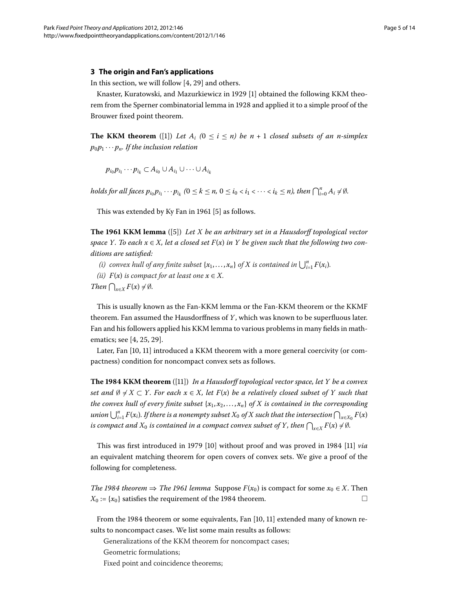#### <span id="page-4-0"></span>**3 The origin and Fan's applications**

In this section, we will follow  $[4, 29]$  $[4, 29]$  and others.

Knaster, Kuratowski, and Mazurkiewicz in 1929 [1] obtained the following KKM theorem from the Sperner combinatorial lemma in 1928 and applied it to a simple proof of the Brouwer fixed point theorem.

**The KKM theorem** ([\[](#page-12-0)1]) Let  $A_i$  ( $0 \le i \le n$ ) be  $n + 1$  closed subsets of an n-simplex  $p_0 p_1 \cdots p_n$ . If the inclusion relation

 $p_{i_0} p_{i_1} \cdots p_{i_k} \subset A_{i_0} \cup A_{i_1} \cup \cdots \cup A_{i_k}$ 

*holds for all faces*  $p_{i_0} p_{i_1} \cdots p_{i_k}$  ( $0 \le k \le n$ ,  $0 \le i_0 < i_1 < \cdots < i_k \le n$ ), then  $\bigcap_{i=0}^n A_i \ne \emptyset$ .

This was extended by Ky Fan in 1961 [\[](#page-12-3)5] as follows.

**The 1961 KKM lemma** ([\[](#page-12-3)5]) *Let X be an arbitrary set in a Hausdorff topological vector space Y. To each*  $x \in X$ , let a closed set  $F(x)$  in Y be given such that the following two con*ditions are satisfied:*

- *(i)* convex hull of any finite subset  $\{x_1, \ldots, x_n\}$  of  $X$  is contained in  $\bigcup_{i=1}^n F(x_i)$ .
- *(ii)*  $F(x)$  *is compact for at least one*  $x \in X$ *.*

*Then*  $\bigcap_{x \in X} F(x) \neq \emptyset$ *.* 

This is usually known as the Fan-KKM lemma or the Fan-KKM theorem or the KKMF theorem. Fan assumed the Hausdorffness of *Y*, which was known to be superfluous later. Fan and his followers applied his KKM lemma to various problems in many fields in mathematics; see  $[4, 25, 29]$  $[4, 25, 29]$  $[4, 25, 29]$ .

Later[,](#page-12-6) Fan [10, 11[\]](#page-13-0) introduced a KKM theorem with a more general coercivity (or compactness) condition for noncompact convex sets as follows.

**The KKM theorem** ([\[\]](#page-13-0)) *In a Hausdorff topological vector space, let Y be a convex set and*  $\emptyset \neq X \subset Y$ . For each  $x \in X$ , let  $F(x)$  be a relatively closed subset of Y such that *the convex hull of every finite subset*  $\{x_1, x_2, \ldots, x_n\}$  *of X is contained in the corresponding*  $u$ nion  $\bigcup_{i=1}^n F(x_i)$ . If there is a nonempty subset  $X_0$  of  $X$  such that the intersection  $\bigcap_{x\in X_0} F(x)$ is compact and  $X_0$  is contained in a compact convex subset of  $Y$ , then  $\bigcap_{x\in X}F(x)\neq\emptyset$ .

This was first introduced in 1979 [\[](#page-13-0)10] without proof and was proved in 1984 [11] *via* an equivalent matching theorem for open covers of convex sets. We give a proof of the following for completeness.

*The 1984 theorem*  $\Rightarrow$  *The 1961 lemma* Suppose  $F(x_0)$  is compact for some  $x_0 \in X$ . Then  $X_0 := \{x_0\}$  satisfies the requirement of the 1984 theorem.

From the 1984 theorem or some equivalents, Fan [10, 11] extended many of known results to noncompact cases. We list some main results as follows:

Generalizations of the KKM theorem for noncompact cases;

Geometric formulations;

Fixed point and coincidence theorems;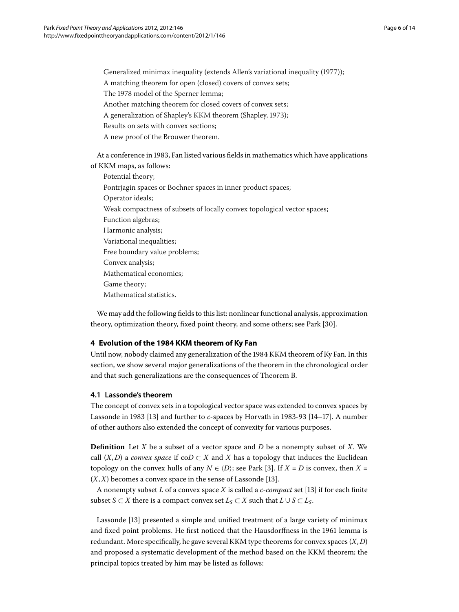Generalized minimax inequality (extends Allen's variational inequality (1977));

A matching theorem for open (closed) covers of convex sets;

The 1978 model of the Sperner lemma;

Another matching theorem for closed covers of convex sets;

A generalization of Shapley's KKM theorem (Shapley, 1973);

Results on sets with convex sections;

A new proof of the Brouwer theorem.

At a conference in 1983, Fan listed various fields in mathematics which have applications of KKM maps, as follows:

Potential theory; Pontrjagin spaces or Bochner spaces in inner product spaces; Operator ideals; Weak compactness of subsets of locally convex topological vector spaces; Function algebras; Harmonic analysis; Variational inequalities; Free boundary value problems; Convex analysis; Mathematical economics; Game theory; Mathematical statistics.

<span id="page-5-1"></span><span id="page-5-0"></span>We may add the following fields to this list: nonlinear functional analysis, approximation theory, optimization theory, fixed point theory, and some others; see Park [30].

## **4 Evolution of the 1984 KKM theorem of Ky Fan**

Until now, nobody claimed any generalization of the 1984 KKM theorem of Ky Fan. In this section, we show several major generalizations of the theorem in the chronological order and that such generalizations are the consequences of Theorem [B](#page-2-1).

## **4.1 Lassonde's theorem**

The concept of convex sets in a topological vector space was extended to convex spaces by Lassonde in 1983 [13[\]](#page-13-2) and further to *c*-spaces by Horvath in 1983-93 [14-17]. A number of other authors also extended the concept of convexity for various purposes.

**Definition** Let *X* be a subset of a vector space and *D* be a nonempty subset of *X*. We call  $(X, D)$  a *convex space* if  $coD \subset X$  and *X* has a topology that induces the Euclidean topology on the convex hulls of any  $N \in \langle D \rangle$ ; see Park [3[\]](#page-12-7). If  $X = D$  is convex, then  $X = D$  $(X, X)$  becomes a convex space in the sense of Lassonde [13].

A nonempty subset *L* of a convex space *X* is called a *c*-*compact* set [] if for each finite subset *S*  $\subset$  *X* there is a compact convex set *L<sub>S</sub>*  $\subset$  *X* such that *L* ∪ *S*  $\subset$  *L<sub>S</sub>*.

Lassonde [13[\]](#page-13-2) presented a simple and unified treatment of a large variety of minimax and fixed point problems. He first noticed that the Hausdorffness in the 1961 lemma is redundant. More specifically, he gave several KKM type theorems for convex spaces (*X*,*D*) and proposed a systematic development of the method based on the KKM theorem; the principal topics treated by him may be listed as follows: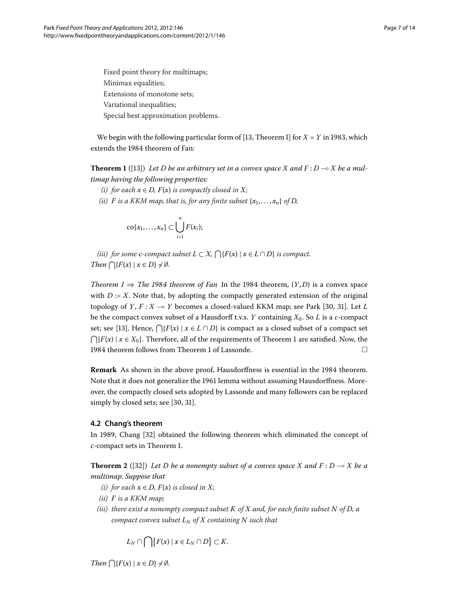<span id="page-6-0"></span>Fixed point theory for multimaps; Minimax equalities; Extensions of monotone sets; Variational inequalities; Special best approximation problems.

We begin with the following particular form of [\[](#page-13-2)13, Theorem I] for  $X = Y$  in 1983, which extends the 1984 theorem of Fan:

**Theorem 1** ([\[](#page-13-2)13]) Let D be an arbitrary set in a convex space X and  $F: D \multimap X$  be a mul*timap having the following properties:*

- *(i)* for each  $x \in D$ ,  $F(x)$  *is compactly closed in*  $X$ *;*
- *(ii) F is a KKM map, that is, for any finite subset*  $\{x_1, \ldots, x_n\}$  *of D,*

$$
co{x_1,\ldots,x_n}\subset \bigcup_{i=1}^n F(x_i);
$$

*(iii)* for some *c*-compact subset  $L \subset X$ ,  $\bigcap$ { $F(x) \mid x \in L \cap D$ } *is compact. Then*  $\bigcap \{F(x) \mid x \in D\} \neq \emptyset$ *.* 

*Theorem*  $1 \Rightarrow$  *The 1984 theorem of Fan* In the 1984 theorem,  $(Y, D)$  is a convex space with  $D := X$ . Note that, by adopting the compactly generated extension of the original topology of *Y*, *F* : *X*  $\multimap$  *Y* becomes a closed-valued KKM map; see Park [30, 31[\]](#page-13-14). Let *L* be the compact convex subset of a Hausdorff t.v.s. *Y* containing  $X_0$ . So *L* is a *c*-compact set; see [13[\]](#page-13-2). Hence,  $\bigcap \{F(x) \mid x \in L \cap D\}$  is compact as a closed subset of a compact set  ${\bigcap} {F(x) | x \in X_0}$ . Therefore, all of the requirements of Theorem 1 are satisfied. Now, the 1984 theorem follows from Theorem 1 of Lassonde.  $\hfill \Box$ 

<span id="page-6-1"></span>**Remark** As shown in the above proof, Hausdorffness is essential in the 1984 theorem. Note that it does not generalize the 1961 lemma without assuming Hausdorffness. Moreover, the compactly closed sets adopted by Lassonde and many followers can be replaced simply by closed sets; see [30, 31].

#### **4.2 Chang's theorem**

In 1989, Chang [32[\]](#page-13-15) obtained the following theorem which eliminated the concept of *c*-compact sets in Theorem 1.

**Theorem 2** ([32[\]](#page-13-15)) Let D be a nonempty subset of a convex space X and  $F: D \multimap X$  be a *multimap. Suppose that*

- *(i)* for each  $x \in D$ ,  $F(x)$  *is closed in*  $X$ *;*
- *(ii) F is a KKM map;*
- *(iii) there exist a nonempty compact subset K of X and, for each finite subset N of D, a compact convex subset*  $L_N$  *of*  $X$  *containing*  $N$  *such that*

$$
L_N \cap \bigcap \{ F(x) \mid x \in L_N \cap D \} \subset K.
$$

*Then*  $\bigcap \{F(x) \mid x \in D\} \neq \emptyset$ *.*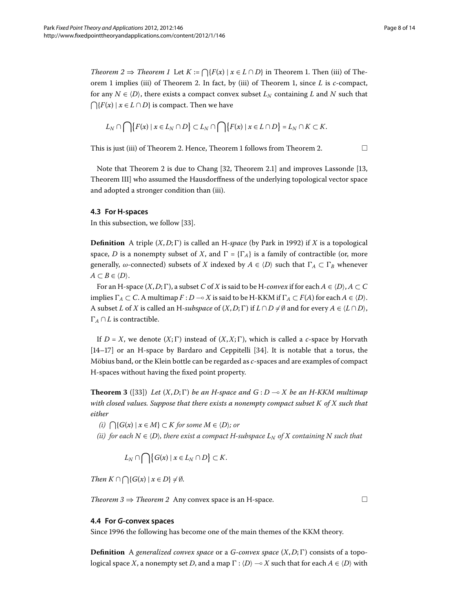$$
L_N\cap\bigcap\bigl\{F(x)\mid x\in L_N\cap D\bigr\}\subset L_N\cap\bigcap\bigl\{F(x)\mid x\in L\cap D\bigr\}=L_N\cap K\subset K.
$$

This is just (iii) of Theorem 2[.](#page-6-1) Hence, Theorem 1 follows from Theorem 2.  $\Box$ 

Note that Theorem 2 is due to Chang  $[32,$  $[32,$  Theorem 2.1] and improves Lassonde  $[13,$ Theorem III] who assumed the Hausdorffness of the underlying topological vector space and adopted a stronger condition than (iii).

#### **4.3 For H-spaces**

In this subsection, we follow [\[](#page-13-16)33].

**Definition** A triple  $(X, D; \Gamma)$  is called an H-*space* (by Park in 1992) if *X* is a topological space, *D* is a nonempty subset of *X*, and  $\Gamma = {\lbrace \Gamma_A \rbrace}$  is a family of contractible (or, more generally,  $\omega$ -connected) subsets of  $X$  indexed by  $A \in \langle D \rangle$  such that  $\Gamma_A \subset \Gamma_B$  whenever  $A \subset B \in \langle D \rangle$ .

For an H-space  $(X, D; \Gamma)$ , a subset *C* of *X* is said to be H-*convex* if for each  $A \in \langle D \rangle$ ,  $A \subset C$ implies  $\Gamma_A \subset C$ . A multimap  $F: D \to X$  is said to be H-KKM if  $\Gamma_A \subset F(A)$  for each  $A \in \langle D \rangle$ . A subset *L* of *X* is called an H-subspace of  $(X, D; \Gamma)$  if  $L \cap D \neq \emptyset$  and for every  $A \in (L \cap D)$ ,  $\Gamma_A \cap L$  is contractible.

<span id="page-7-0"></span>If  $D = X$ , we denote  $(X; \Gamma)$  instead of  $(X, X; \Gamma)$ , which is called a *c*-space by Horvath  $[14–17]$  $[14–17]$  $[14–17]$  $[14–17]$  or an H-space by Bardaro and Ceppitelli  $[34]$ . It is notable that a torus, the Möbius band, or the Klein bottle can be regarded as *c*-spaces and are examples of compact H-spaces without having the fixed point property.

**Theorem 3** ([33[\]](#page-13-16)) Let  $(X, D; \Gamma)$  be an H-space and  $G: D \rightarrow X$  be an H-KKM multimap *with closed values. Suppose that there exists a nonempty compact subset K of X such that either*

 $(i)$   $\bigcap$ { $G(x) \mid x \in M$ } ⊂ *K for some*  $M \in \langle D \rangle$ *; or* 

 $(iii)$  for each  $N \in \langle D \rangle$ , there exist a compact H-subspace  $L_N$  of  $X$  containing  $N$  such that

 $L_N \cap \bigcap \{G(x) \mid x \in L_N \cap D\} \subset K.$ 

*Then*  $K \cap \bigcap \{G(x) \mid x \in D\} \neq \emptyset$ .

*Theorem*  $3 \Rightarrow Theorem 2$  Any convex space is an H-space.  $\Box$ 

#### **4.4 For** *G***-convex spaces**

Since 1996 the following has become one of the main themes of the KKM theory.

**Definition** A *generalized convex space* or a *G*-*convex space*  $(X, D; \Gamma)$  consists of a topo- $\log$ ical space  $X$ , a nonempty set  $D$ , and a map  $\Gamma$  :  $\langle D \rangle$   $\multimap$   $X$  such that for each  $A \in \langle D \rangle$  with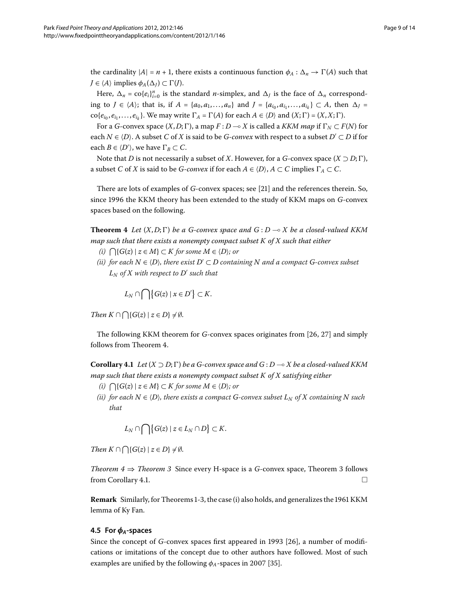the cardinality  $|A| = n + 1$ , there exists a continuous function  $\phi_A : \Delta_n \to \Gamma(A)$  such that  $J \in \langle A \rangle$  implies  $\phi_A(\Delta_J) \subset \Gamma(J)$ .

Here,  $\Delta_n = \text{co}\{e_i\}_{i=0}^n$  is the standard *n*-simplex, and  $\Delta_j$  is the face of  $\Delta_n$  corresponding to *J* ∈  $\langle A \rangle$ ; that is, if *A* = {*a*<sub>0</sub>, *a*<sub>1</sub>,..., *a<sub>n</sub>*} and *J* = {*a*<sub>*i*0</sub>, *a*<sub>*i*<sub>1</sub></sub>,..., *a*<sub>*i*<sub>k</sub></sub>} ⊂ *A*, then  $\Delta$ *J* =  $\text{co}\{e_{i_0}, e_{i_1}, \ldots, e_{i_k}\}\.$  We may write  $\Gamma_A = \Gamma(A)$  for each  $A \in \langle D \rangle$  and  $(X; \Gamma) = (X, X; \Gamma).$ 

For a *G*-convex space  $(X, D; \Gamma)$ , a map  $F: D \to X$  is called a *KKM map* if  $\Gamma_N \subset F(N)$  for each  $N \in \langle D \rangle$ . A subset  $C$  of  $X$  is said to be  $G$ -*convex* with respect to a subset  $D' \subset D$  if for each  $B \in \langle D' \rangle$ , we have  $\Gamma_B \subset C$ .

<span id="page-8-0"></span>Note that *D* is not necessarily a subset of *X*. However, for a *G*-convex space  $(X \supset D; \Gamma)$ , a subset *C* of *X* is said to be *G-convex* if for each  $A \in \langle D \rangle$ ,  $A \subset C$  implies  $\Gamma_A \subset C$ .

There are lots of examples of *G*-convex spaces; see [21] and the references therein. So, since the KKM theory has been extended to the study of KKM maps on *G*-convex spaces based on the following.

**Theorem 4** Let  $(X, D; \Gamma)$  be a G-convex space and  $G: D \rightarrow X$  be a closed-valued KKM *map such that there exists a nonempty compact subset K of X such that either*

- $(i)$   $\bigcap$ { $G(z) \mid z \in M$ } ⊂ *K for some*  $M \in \langle D \rangle$ *; or*
- $(iii)$  for each  $N ∈ \langle D \rangle$ , there exist  $D' ⊂ D$  containing  $N$  and a compact  $G$ -convex subset  $L_N$  *of*  $X$  *with respect to*  $D'$  *such that*

 $L_N \cap \bigcap \{G(z) \mid x \in D'\} \subset K$ .

<span id="page-8-1"></span>*Then*  $K \cap \bigcap \{G(z) \mid z \in D\} \neq \emptyset$ .

The following KKM theorem for *G*-convex spaces originates from [26, 27[\]](#page-13-19) and simply follows from Theorem 4[.](#page-8-0)

**Corollary 4.1** Let  $(X \supset D; \Gamma)$  be a G-convex space and  $G: D \to X$  be a closed-valued KKM *map such that there exists a nonempty compact subset K of X satisfying either*

- $(i)$   $\bigcap$ { $G(z) \mid z \in M$ } ⊂ *K for some*  $M \in \langle D \rangle$ *; or*
- $(iii)$  for each  $N \in \langle D \rangle$ , there exists a compact  $G$ -convex subset  $L_N$  of  $X$  containing  $N$  such *that*

$$
L_N \cap \bigcap \{G(z) \mid z \in L_N \cap D\} \subset K.
$$

*Then*  $K \cap \bigcap \{G(z) \mid z \in D\} \neq \emptyset$ .

<span id="page-8-2"></span>*Theorem*  $4 \Rightarrow$  *Theorem* 3 Since every H-space is a *G*-convex space, Theorem 3 follows from Corollary 4.1.  $\Box$ 

**Remark** Similarly, for Theorems 1[-](#page-7-0)3, the case (i) also holds, and generalizes the 1961 KKM lemma of Ky Fan.

### **4.5 For** *φA***-spaces**

Since the concept of *G*-convex spaces first appeared in 1993 [26], a number of modifications or imitations of the concept due to other authors have followed. Most of such examples are unified by the following  $\phi_A$ -spaces in 2007 [35[\]](#page-13-20).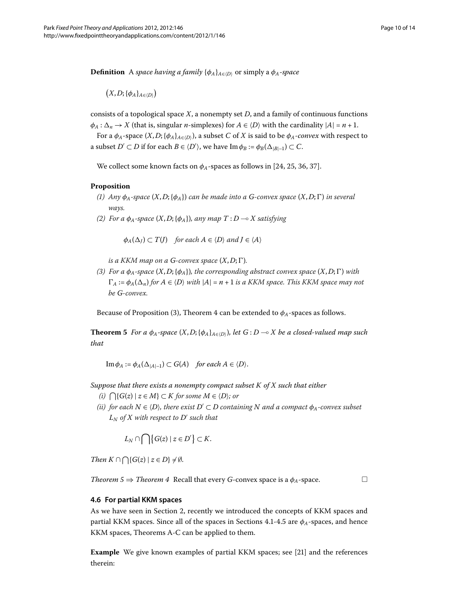**Definition** A *space having a family* {*φA*}*A*∈-*<sup>D</sup>* or simply a *φA*-*space*

 $(X, D; {\phi_A}_{A \in \langle D \rangle})$ 

consists of a topological space *X*, a nonempty set *D*, and a family of continuous functions  $\phi_A : \Delta_n \to X$  (that is, singular *n*-simplexes) for  $A \in \langle D \rangle$  with the cardinality  $|A| = n + 1$ .

For a  $\phi_A$ -space  $(X, D; \{\phi_A\}_{A \in (D)}),$  a subset  $C$  of  $X$  is said to be  $\phi_A$ -*convex* with respect to a subset  $D' \subset D$  if for each  $B \in \langle D' \rangle$ , we have  $\text{Im } \phi_B := \phi_B(\Delta_{|B|-1}) \subset C$ .

We collect some known facts on  $\phi_A$ -spaces as follows in [24[,](#page-13-10) 25, 36, 37[\]](#page-13-22).

#### **Proposition**

- *(1)* Any  $\phi_A$ -space  $(X, D; {\phi_A})$  *can be made into a G*-convex space  $(X, D; \Gamma)$  *in several ways.*
- *() For a φA-space* (*X*,*D*;{*φA*})*, any map T* : *D X satisfying*

 $\phi_A(\Delta_J) \subset T(J)$  *for each*  $A \in \langle D \rangle$  *and*  $J \in \langle A \rangle$ 

*is a KKM map on a G-convex space*  $(X, D; \Gamma)$ *.* 

<span id="page-9-0"></span>*(3)* For a  $\phi_A$ -space  $(X, D; {\phi_A})$ *, the corresponding abstract convex space*  $(X, D; \Gamma)$  with  $\Gamma_A := \phi_A(\Delta_n)$  *for*  $A \in \langle D \rangle$  *with*  $|A| = n + 1$  *is a KKM space. This KKM space may not be G-convex.*

Because of Proposition (3), Theorem 4 can be extended to  $\phi_A$ -spaces as follows.

**Theorem 5** For a  $\phi_A$ -space  $(X, D; {\phi_A}_{A \in (D)})$ , let  $G: D \to X$  be a closed-valued map such *that*

 $\operatorname{Im} \phi_A := \phi_A(\Delta_{|A|-1}) \subset G(A)$  *for each*  $A \in \langle D \rangle$ .

*Suppose that there exists a nonempty compact subset K of X such that either*

- $(i)$   $\bigcap$ { $G(z) \mid z \in M$ } ⊂ *K for some*  $M \in \langle D \rangle$ *; or*
- *(ii)* for each  $N \in \langle D \rangle$ , there exist  $D' \subset D$  containing  $N$  and a compact  $\phi_A$ -convex subset  $L_N$  *of*  $X$  *with respect to*  $D'$  *such that*

 $L_N \cap \bigcap \{ G(z) \mid z \in D' \} \subset K$ .

*Then*  $K \cap \bigcap \{G(z) \mid z \in D\} \neq \emptyset$ .

*Theorem*  $5 \Rightarrow$  *Theorem* 4 Recall that every *G*-convex space is a  $\phi_A$ -space.

#### **4.6 For partial KKM spaces**

As we have seen in Section 2, recently we introduced the concepts of KKM spaces and partial KKM spaces[.](#page-8-2) Since all of the spaces in Sections 4.1-4.5 are  $\phi_A$ -spaces, and hence KKM spaces, Theorems [A](#page-2-0)-[C](#page-3-0) can be applied to them.

**Example** We give known examples of partial KKM spaces; see [21[\]](#page-13-7) and the references therein: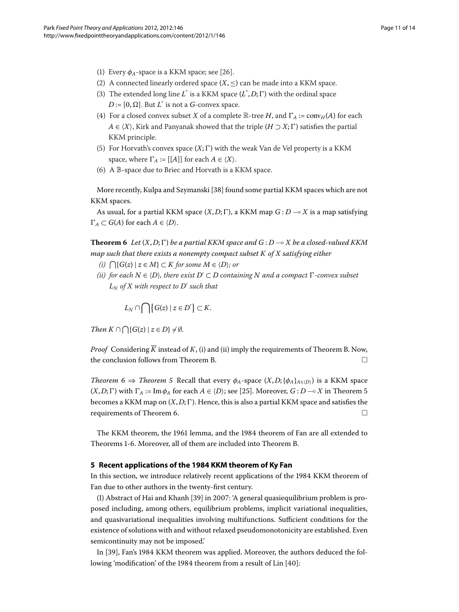- (1) Every  $\phi_A$ -space is a KKM space; see [26[\]](#page-13-18).
- (2) A connected linearly ordered space  $(X, \leq)$  can be made into a KKM space.
- (3) The extended long line  $L^*$  is a KKM space  $(L^*, D; \Gamma)$  with the ordinal space  $D := [0, \Omega]$ . But  $L^*$  is not a *G*-convex space.
- (4) For a closed convex subset *X* of a complete  $\mathbb{R}$ -tree *H*, and  $\Gamma_A := \text{conv}_H(A)$  for each *A* ∈  $\langle X \rangle$ , Kirk and Panyanak showed that the triple (*H* ⊃  $X; \Gamma$ ) satisfies the partial KKM principle.
- (5) For Horvath's convex space  $(X; \Gamma)$  with the weak Van de Vel property is a KKM space, where  $\Gamma_A := [[A]]$  for each  $A \in \langle X \rangle$ .
- <span id="page-10-1"></span>(6) A  $\mathbb B$ -space due to Briec and Horvath is a KKM space.

More recently, Kulpa and Szymanski [\[](#page-13-23)38] found some partial KKM spaces which are not KKM spaces.

As usual, for a partial KKM space  $(X,D;\Gamma)$ , a KKM map  $G$  :  $D$  — $\circ$   $X$  is a map satisfying  $\Gamma_A \subset G(A)$  for each  $A \in \langle D \rangle$ .

**Theorem 6** Let  $(X,D;\Gamma)$  be a partial KKM space and  $G:D\multimap X$  be a closed-valued KKM *map such that there exists a nonempty compact subset K of X satisfying either*

- $(i)$   $\bigcap$ { $G(z) \mid z \in M$ } ⊂ *K for some*  $M \in \langle D \rangle$ ; or
- $(iii)$  for each  $N ∈ \langle D \rangle$ , there exist  $D' ⊂ D$  containing  $N$  and a compact  $Γ$ -convex subset  $L_N$  *of*  $X$  *with respect to*  $D'$  *such that*

 $L_N \cap \bigcap \{G(z) \mid z \in D'\} \subset K$ .

*Then*  $K \cap \bigcap \{G(z) \mid z \in D\} \neq \emptyset$ .

*Proof* Considering  $\overline{K}$  instead of  $K$ , (i) and (ii) imply the requirements of Theorem [B.](#page-2-1) Now, the conclusion follows from Theorem [B.](#page-2-1)

<span id="page-10-0"></span>*Theorem* 6  $\Rightarrow$  *Theorem* 5 Recall that every  $\phi_A$ -space  $(X, D; {\phi_A}_{A \in (D)})$  is a KKM space  $(X, D; \Gamma)$  with  $\Gamma_A := \text{Im} \, \phi_A$  for each  $A \in \langle D \rangle$ ; see [\[](#page-13-10)25]. Moreover,  $G: D \longrightarrow X$  in Theorem 5 becomes a KKM map on  $(X, D; \Gamma)$ . Hence, this is also a partial KKM space and satisfies the requirements of Theorem 6.  $\Box$ 

The KKM theorem, the 1961 lemma, and the 1984 theorem of Fan are all extended to Theorems 1[-](#page-6-0)6[.](#page-10-1) Moreover, all of them are included into Theorem [B.](#page-2-1)

#### **5 Recent applications of the 1984 KKM theorem of Ky Fan**

In this section, we introduce relatively recent applications of the 1984 KKM theorem of Fan due to other authors in the twenty-first century.

(I) Abstract of Hai and Khanh [39[\]](#page-13-24) in 2007: 'A general quasiequilibrium problem is proposed including, among others, equilibrium problems, implicit variational inequalities, and quasivariational inequalities involving multifunctions. Sufficient conditions for the existence of solutions with and without relaxed pseudomonotonicity are established. Even semicontinuity may not be imposed.'

In [\[](#page-13-24)39], Fan's 1984 KKM theorem was applied. Moreover, the authors deduced the fol-lowing 'modification' of the 1984 theorem from a result of Lin [\[](#page-13-25)40]: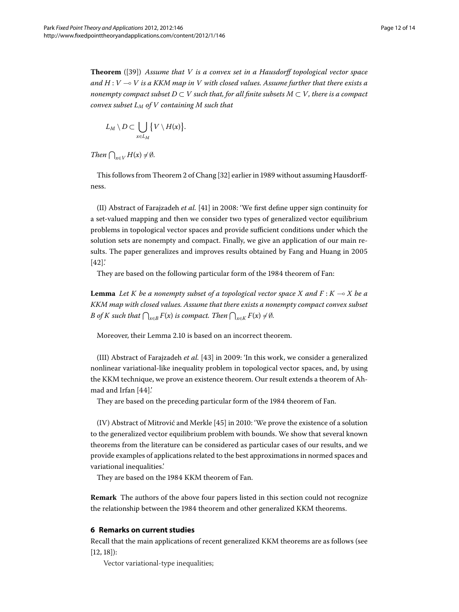**Theorem** ([\[](#page-13-24)39]) *Assume that V is a convex set in a Hausdorff topological vector space and H* : *V* - *V is a KKM map in V with closed values. Assume further that there exists a nonempty compact subset D*  $\subset$  *V such that, for all finite subsets M*  $\subset$  *V, there is a compact convex subset LM of V containing M such that*

$$
L_M \setminus D \subset \bigcup_{x \in L_M} \{V \setminus H(x)\}.
$$

*Then*  $\bigcap_{x \in V} H(x) \neq \emptyset$ *.* 

This follows from Theorem 2 of Chang [32[\]](#page-13-15) earlier in 1989 without assuming Hausdorffness.

(II) Abstract of Farajzadeh *et al.* [41] in 2008: 'We first define upper sign continuity for a set-valued mapping and then we consider two types of generalized vector equilibrium problems in topological vector spaces and provide sufficient conditions under which the solution sets are nonempty and compact. Finally, we give an application of our main results. The paper generalizes and improves results obtained by Fang and Huang in  $[42]'$ 

They are based on the following particular form of the 1984 theorem of Fan:

**Lemma** *Let K be a nonempty subset of a topological vector space X and F* : *K* - *X be a KKM map with closed values. Assume that there exists a nonempty compact convex subset B* of *K* such that  $\bigcap_{x \in B} F(x)$  is compact. Then  $\bigcap_{x \in K} F(x) \neq \emptyset$ .

Moreover, their Lemma 2.10 is based on an incorrect theorem.

(III) Abstract of Farajzadeh *et al.* [\[](#page-13-28)43] in 2009: 'In this work, we consider a generalized nonlinear variational-like inequality problem in topological vector spaces, and, by using the KKM technique, we prove an existence theorem. Our result extends a theorem of Ah-mad and Irfan [44[\]](#page-13-29).'

They are based on the preceding particular form of the 1984 theorem of Fan.

(IV) Abstract of Mitrović and Merkle [45[\]](#page-13-30) in 2010: 'We prove the existence of a solution to the generalized vector equilibrium problem with bounds. We show that several known theorems from the literature can be considered as particular cases of our results, and we provide examples of applications related to the best approximations in normed spaces and variational inequalities.'

<span id="page-11-0"></span>They are based on the 1984 KKM theorem of Fan.

**Remark** The authors of the above four papers listed in this section could not recognize the relationship between the 1984 theorem and other generalized KKM theorems.

#### **6 Remarks on current studies**

Recall that the main applications of recent generalized KKM theorems are as follows (see  $[12, 18]$  $[12, 18]$  $[12, 18]$ :

Vector variational-type inequalities;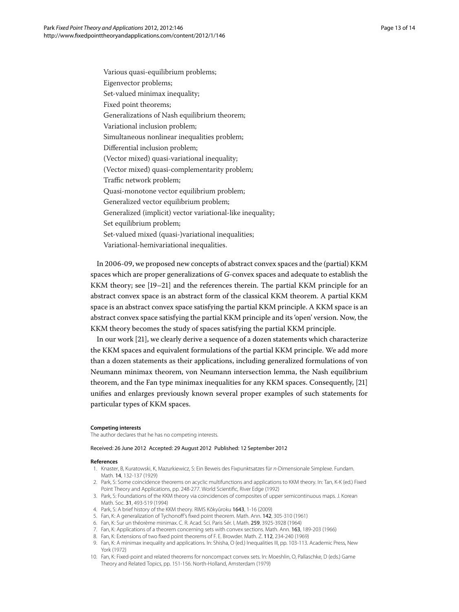Various quasi-equilibrium problems; Eigenvector problems; Set-valued minimax inequality; Fixed point theorems; Generalizations of Nash equilibrium theorem; Variational inclusion problem; Simultaneous nonlinear inequalities problem; Differential inclusion problem; (Vector mixed) quasi-variational inequality; (Vector mixed) quasi-complementarity problem; Traffic network problem; Quasi-monotone vector equilibrium problem; Generalized vector equilibrium problem; Generalized (implicit) vector variational-like inequality; Set equilibrium problem; Set-valued mixed (quasi-)variational inequalities; Variational-hemivariational inequalities.

In 2006-09, we proposed new concepts of abstract convex spaces and the (partial) KKM spaces which are proper generalizations of *G*-convex spaces and adequate to establish the KKM theory; see  $[19-21]$  $[19-21]$  and the references therein. The partial KKM principle for an abstract convex space is an abstract form of the classical KKM theorem. A partial KKM space is an abstract convex space satisfying the partial KKM principle. A KKM space is an abstract convex space satisfying the partial KKM principle and its 'open' version. Now, the KKM theory becomes the study of spaces satisfying the partial KKM principle.

In our work [21[\]](#page-13-7), we clearly derive a sequence of a dozen statements which characterize the KKM spaces and equivalent formulations of the partial KKM principle. We add more than a dozen statements as their applications, including generalized formulations of von Neumann minimax theorem, von Neumann intersection lemma, the Nash equilibrium theorem, and the Fan type minimax inequalities for any KKM spaces. Consequently, [21] unifies and enlarges previously known several proper examples of such statements for particular types of KKM spaces.

#### <span id="page-12-7"></span><span id="page-12-1"></span><span id="page-12-0"></span>**Competing interests**

<span id="page-12-2"></span>The author declares that he has no competing interests.

#### <span id="page-12-4"></span><span id="page-12-3"></span>Received: 26 June 2012 Accepted: 29 August 2012 Published: 12 September 2012

#### <span id="page-12-5"></span>**References**

- 1. Knaster, B, Kuratowski, K, Mazurkiewicz, S: Ein Beweis des Fixpunktsatzes für n-Dimensionale Simplexe. Fundam. Math. 14, 132-137 (1929)
- <span id="page-12-6"></span>2. Park, S: Some coincidence theorems on acyclic multifunctions and applications to KKM theory. In: Tan, K-K (ed.) Fixed Point Theory and Applications, pp. 248-277. World Scientific, River Edge (1992)
- 3. Park, S: Foundations of the KKM theory via coincidences of composites of upper semicontinuous maps. J. Korean Math. Soc. 31, 493-519 (1994)
- 4. Park, S: A brief history of the KKM theory. RIMS Kôkyûroku 1643, 1-16 (2009)
- 5. Fan, K: A generalization of Tychonoff's fixed point theorem. Math. Ann. 142, 305-310 (1961)
- 6. Fan, K: Sur un théorème minimax. C. R. Acad. Sci. Paris Sér. I, Math. 259, 3925-3928 (1964)
- 7. Fan, K: Applications of a theorem concerning sets with convex sections. Math. Ann. 163, 189-203 (1966)
- 8. Fan, K: Extensions of two fixed point theorems of F. E. Browder. Math. Z. 112, 234-240 (1969)
- 9. Fan, K: A minimax inequality and applications. In: Shisha, O (ed.) Inequalities III, pp. 103-113. Academic Press, New York (1972)
- 10. Fan, K: Fixed-point and related theorems for noncompact convex sets. In: Moeshlin, O, Pallaschke, D (eds.) Game Theory and Related Topics, pp. 151-156. North-Holland, Amsterdam (1979)